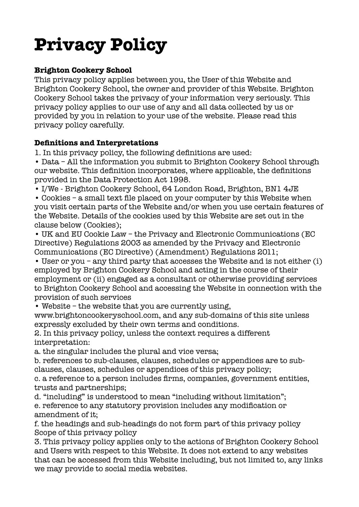# **Privacy Policy**

# **Brighton Cookery School**

This privacy policy applies between you, the User of this Website and Brighton Cookery School, the owner and provider of this Website. Brighton Cookery School takes the privacy of your information very seriously. This privacy policy applies to our use of any and all data collected by us or provided by you in relation to your use of the website. Please read this privacy policy carefully.

#### **Definitions and Interpretations**

1. In this privacy policy, the following definitions are used:

• Data – All the information you submit to Brighton Cookery School through our website. This definition incorporates, where applicable, the definitions provided in the Data Protection Act 1998.

• I/We - Brighton Cookery School, 64 London Road, Brighton, BN1 4JE

• Cookies – a small text file placed on your computer by this Website when you visit certain parts of the Website and/or when you use certain features of the Website. Details of the cookies used by this Website are set out in the clause below (Cookies);

• UK and EU Cookie Law – the Privacy and Electronic Communications (EC Directive) Regulations 2003 as amended by the Privacy and Electronic Communications (EC Directive) (Amendment) Regulations 2011;

• User or you – any third party that accesses the Website and is not either (i) employed by Brighton Cookery School and acting in the course of their employment or (ii) engaged as a consultant or otherwise providing services to Brighton Cookery School and accessing the Website in connection with the provision of such services

• Website – the website that you are currently using,

www.brightoncookeryschool.com, and any sub-domains of this site unless expressly excluded by their own terms and conditions.

2. In this privacy policy, unless the context requires a different interpretation:

a. the singular includes the plural and vice versa;

b. references to sub-clauses, clauses, schedules or appendices are to subclauses, clauses, schedules or appendices of this privacy policy;

c. a reference to a person includes firms, companies, government entities, trusts and partnerships;

d. "including" is understood to mean "including without limitation"; e. reference to any statutory provision includes any modification or amendment of it;

f. the headings and sub-headings do not form part of this privacy policy Scope of this privacy policy

3. This privacy policy applies only to the actions of Brighton Cookery School and Users with respect to this Website. It does not extend to any websites that can be accessed from this Website including, but not limited to, any links we may provide to social media websites.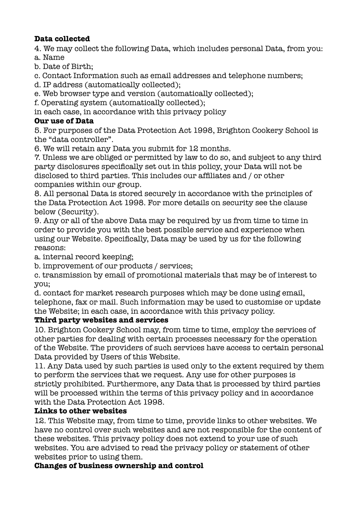#### **Data collected**

4. We may collect the following Data, which includes personal Data, from you: a. Name

b. Date of Birth;

c. Contact Information such as email addresses and telephone numbers;

d. IP address (automatically collected);

e. Web browser type and version (automatically collected);

f. Operating system (automatically collected);

in each case, in accordance with this privacy policy

#### **Our use of Data**

5. For purposes of the Data Protection Act 1998, Brighton Cookery School is the "data controller".

6. We will retain any Data you submit for 12 months.

7. Unless we are obliged or permitted by law to do so, and subject to any third party disclosures specifically set out in this policy, your Data will not be disclosed to third parties. This includes our affiliates and / or other companies within our group.

8. All personal Data is stored securely in accordance with the principles of the Data Protection Act 1998. For more details on security see the clause below (Security).

9. Any or all of the above Data may be required by us from time to time in order to provide you with the best possible service and experience when using our Website. Specifically, Data may be used by us for the following reasons:

a. internal record keeping;

b. improvement of our products / services;

c. transmission by email of promotional materials that may be of interest to you;

d. contact for market research purposes which may be done using email, telephone, fax or mail. Such information may be used to customise or update the Website; in each case, in accordance with this privacy policy.

#### **Third party websites and services**

10. Brighton Cookery School may, from time to time, employ the services of other parties for dealing with certain processes necessary for the operation of the Website. The providers of such services have access to certain personal Data provided by Users of this Website.

11. Any Data used by such parties is used only to the extent required by them to perform the services that we request. Any use for other purposes is strictly prohibited. Furthermore, any Data that is processed by third parties will be processed within the terms of this privacy policy and in accordance with the Data Protection Act 1998.

#### **Links to other websites**

12. This Website may, from time to time, provide links to other websites. We have no control over such websites and are not responsible for the content of these websites. This privacy policy does not extend to your use of such websites. You are advised to read the privacy policy or statement of other websites prior to using them.

**Changes of business ownership and control**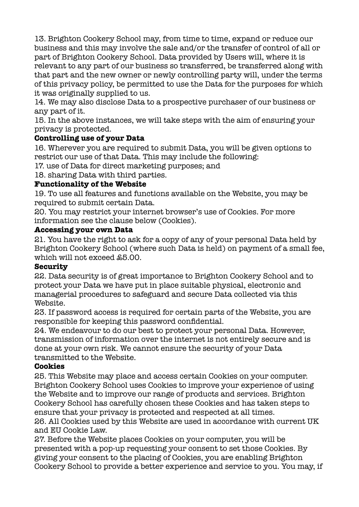13. Brighton Cookery School may, from time to time, expand or reduce our business and this may involve the sale and/or the transfer of control of all or part of Brighton Cookery School. Data provided by Users will, where it is relevant to any part of our business so transferred, be transferred along with that part and the new owner or newly controlling party will, under the terms of this privacy policy, be permitted to use the Data for the purposes for which it was originally supplied to us.

14. We may also disclose Data to a prospective purchaser of our business or any part of it.

15. In the above instances, we will take steps with the aim of ensuring your privacy is protected.

# **Controlling use of your Data**

16. Wherever you are required to submit Data, you will be given options to restrict our use of that Data. This may include the following:

17. use of Data for direct marketing purposes; and

18. sharing Data with third parties.

#### **Functionality of the Website**

19. To use all features and functions available on the Website, you may be required to submit certain Data.

20. You may restrict your internet browser's use of Cookies. For more information see the clause below (Cookies).

#### **Accessing your own Data**

21. You have the right to ask for a copy of any of your personal Data held by Brighton Cookery School (where such Data is held) on payment of a small fee, which will not exceed £5.00.

#### **Security**

22. Data security is of great importance to Brighton Cookery School and to protect your Data we have put in place suitable physical, electronic and managerial procedures to safeguard and secure Data collected via this Website.

23. If password access is required for certain parts of the Website, you are responsible for keeping this password confidential.

24. We endeavour to do our best to protect your personal Data. However, transmission of information over the internet is not entirely secure and is done at your own risk. We cannot ensure the security of your Data transmitted to the Website.

#### **Cookies**

25. This Website may place and access certain Cookies on your computer. Brighton Cookery School uses Cookies to improve your experience of using the Website and to improve our range of products and services. Brighton Cookery School has carefully chosen these Cookies and has taken steps to ensure that your privacy is protected and respected at all times.

26. All Cookies used by this Website are used in accordance with current UK and EU Cookie Law.

27. Before the Website places Cookies on your computer, you will be presented with a pop-up requesting your consent to set those Cookies. By giving your consent to the placing of Cookies, you are enabling Brighton Cookery School to provide a better experience and service to you. You may, if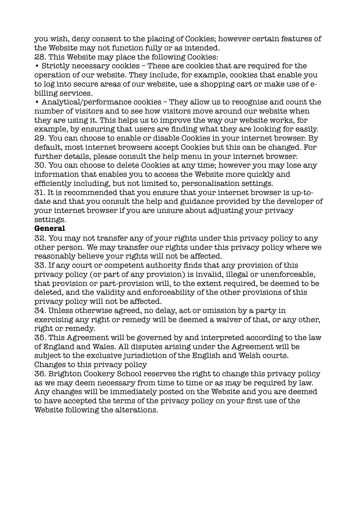you wish, deny consent to the placing of Cookies; however certain features of the Website may not function fully or as intended.

28. This Website may place the following Cookies:

• Strictly necessary cookies – These are cookies that are required for the operation of our website. They include, for example, cookies that enable you to log into secure areas of our website, use a shopping cart or make use of ebilling services.

• Analytical/performance cookies – They allow us to recognise and count the number of visitors and to see how visitors move around our website when they are using it. This helps us to improve the way our website works, for example, by ensuring that users are finding what they are looking for easily. 29. You can choose to enable or disable Cookies in your internet browser. By default, most internet browsers accept Cookies but this can be changed. For further details, please consult the help menu in your internet browser. 30. You can choose to delete Cookies at any time; however you may lose any information that enables you to access the Website more quickly and efficiently including, but not limited to, personalisation settings.

31. It is recommended that you ensure that your internet browser is up-todate and that you consult the help and guidance provided by the developer of your internet browser if you are unsure about adjusting your privacy settings.

#### **General**

32. You may not transfer any of your rights under this privacy policy to any other person. We may transfer our rights under this privacy policy where we reasonably believe your rights will not be affected.

33. If any court or competent authority finds that any provision of this privacy policy (or part of any provision) is invalid, illegal or unenforceable, that provision or part-provision will, to the extent required, be deemed to be deleted, and the validity and enforceability of the other provisions of this privacy policy will not be affected.

34. Unless otherwise agreed, no delay, act or omission by a party in exercising any right or remedy will be deemed a waiver of that, or any other, right or remedy.

35. This Agreement will be governed by and interpreted according to the law of England and Wales. All disputes arising under the Agreement will be subject to the exclusive jurisdiction of the English and Welsh courts. Changes to this privacy policy

36. Brighton Cookery School reserves the right to change this privacy policy as we may deem necessary from time to time or as may be required by law. Any changes will be immediately posted on the Website and you are deemed to have accepted the terms of the privacy policy on your first use of the Website following the alterations.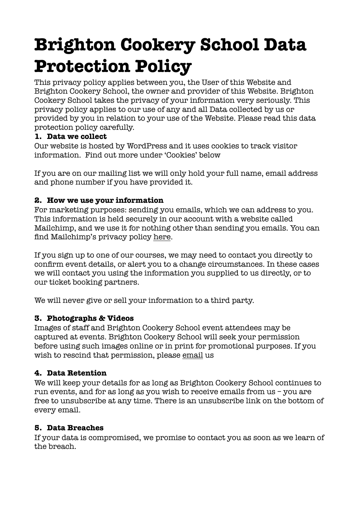# **Brighton Cookery School Data Protection Policy**

This privacy policy applies between you, the User of this Website and Brighton Cookery School, the owner and provider of this Website. Brighton Cookery School takes the privacy of your information very seriously. This privacy policy applies to our use of any and all Data collected by us or provided by you in relation to your use of the Website. Please read this data protection policy carefully.

# **1. Data we collect**

Our website is hosted by WordPress and it uses cookies to track visitor information. Find out more under 'Cookies' below

If you are on our mailing list we will only hold your full name, email address and phone number if you have provided it.

# **2. How we use your information**

For marketing purposes: sending you emails, which we can address to you. This information is held securely in our account with a website called Mailchimp, and we use it for nothing other than sending you emails. You can find Mailchimp's privacy policy [here](https://mailchimp.com/legal/privacy/).

If you sign up to one of our courses, we may need to contact you directly to confirm event details, or alert you to a change circumstances. In these cases we will contact you using the information you supplied to us directly, or to our ticket booking partners.

We will never give or sell your information to a third party.

# **3. Photographs & Videos**

Images of staff and Brighton Cookery School event attendees may be captured at events. Brighton Cookery School will seek your permission before using such images online or in print for promotional purposes. If you wish to rescind that permission, please [email](mailto:info@brightoncookeryschool.com) us

# **4. Data Retention**

We will keep your details for as long as Brighton Cookery School continues to run events, and for as long as you wish to receive emails from us – you are free to unsubscribe at any time. There is an unsubscribe link on the bottom of every email.

# **5. Data Breaches**

If your data is compromised, we promise to contact you as soon as we learn of the breach.